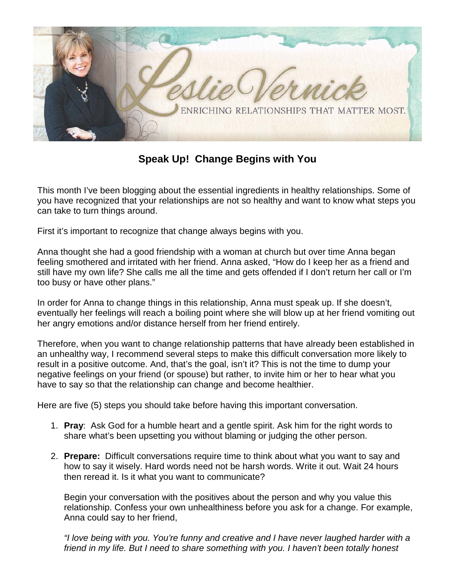

**Speak Up! Change Begins with You**

This month I've been blogging about the essential ingredients in healthy relationships. Some of you have recognized that your relationships are not so healthy and want to know what steps you can take to turn things around.

First it's important to recognize that change always begins with you.

Anna thought she had a good friendship with a woman at church but over time Anna began feeling smothered and irritated with her friend. Anna asked, "How do I keep her as a friend and still have my own life? She calls me all the time and gets offended if I don't return her call or I'm too busy or have other plans."

In order for Anna to change things in this relationship, Anna must speak up. If she doesn't, eventually her feelings will reach a boiling point where she will blow up at her friend vomiting out her angry emotions and/or distance herself from her friend entirely.

Therefore, when you want to change relationship patterns that have already been established in an unhealthy way, I recommend several steps to make this difficult conversation more likely to result in a positive outcome. And, that's the goal, isn't it? This is not the time to dump your negative feelings on your friend (or spouse) but rather, to invite him or her to hear what you have to say so that the relationship can change and become healthier.

Here are five (5) steps you should take before having this important conversation.

- 1. **Pray**: Ask God for a humble heart and a gentle spirit. Ask him for the right words to share what's been upsetting you without blaming or judging the other person.
- 2. **Prepare:** Difficult conversations require time to think about what you want to say and how to say it wisely. Hard words need not be harsh words. Write it out. Wait 24 hours then reread it. Is it what you want to communicate?

Begin your conversation with the positives about the person and why you value this relationship. Confess your own unhealthiness before you ask for a change. For example, Anna could say to her friend,

*"I love being with you. You're funny and creative and I have never laughed harder with a friend in my life. But I need to share something with you. I haven't been totally honest*